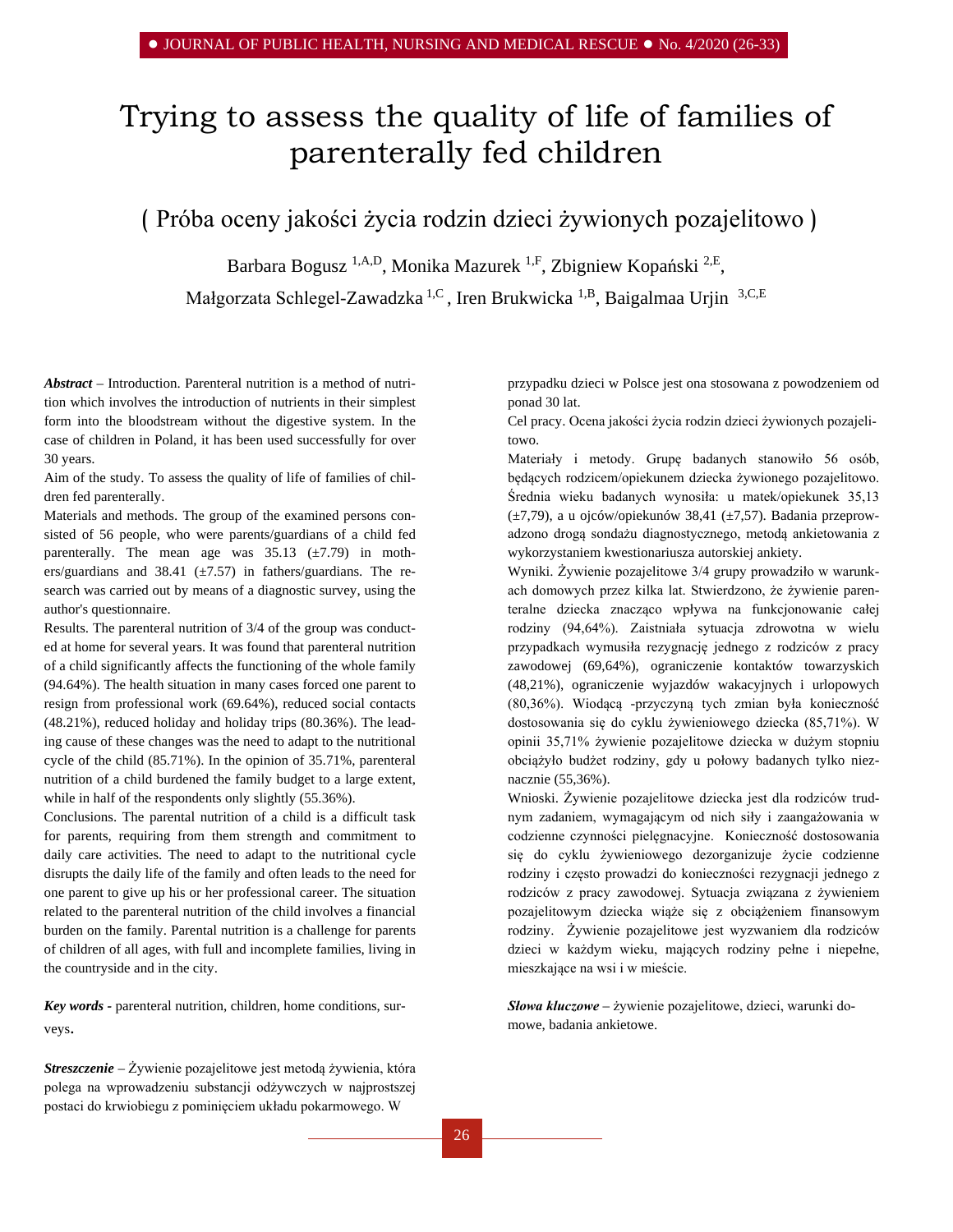# Trying to assess the quality of life of families of parenterally fed children

( Próba oceny jakości życia rodzin dzieci żywionych pozajelitowo )

Barbara Bogusz <sup>1,A,D</sup>, Monika Mazurek <sup>1,F</sup>, Zbigniew Kopański <sup>2,E</sup>,

Małgorzata Schlegel-Zawadzka<sup>1,C</sup>, Iren Brukwicka<sup>1,B</sup>, Baigalmaa Urjin<sup>3,C,E</sup>

*Abstract –* Introduction. Parenteral nutrition is a method of nutrition which involves the introduction of nutrients in their simplest form into the bloodstream without the digestive system. In the case of children in Poland, it has been used successfully for over 30 years.

Aim of the study. To assess the quality of life of families of children fed parenterally.

Materials and methods. The group of the examined persons consisted of 56 people, who were parents/guardians of a child fed parenterally. The mean age was  $35.13$  ( $\pm 7.79$ ) in mothers/guardians and 38.41 ( $\pm$ 7.57) in fathers/guardians. The research was carried out by means of a diagnostic survey, using the author's questionnaire.

Results. The parenteral nutrition of 3/4 of the group was conducted at home for several years. It was found that parenteral nutrition of a child significantly affects the functioning of the whole family (94.64%). The health situation in many cases forced one parent to resign from professional work (69.64%), reduced social contacts (48.21%), reduced holiday and holiday trips (80.36%). The leading cause of these changes was the need to adapt to the nutritional cycle of the child (85.71%). In the opinion of 35.71%, parenteral nutrition of a child burdened the family budget to a large extent, while in half of the respondents only slightly  $(55.36\%)$ .

Conclusions. The parental nutrition of a child is a difficult task for parents, requiring from them strength and commitment to daily care activities. The need to adapt to the nutritional cycle disrupts the daily life of the family and often leads to the need for one parent to give up his or her professional career. The situation related to the parenteral nutrition of the child involves a financial burden on the family. Parental nutrition is a challenge for parents of children of all ages, with full and incomplete families, living in the countryside and in the city.

*Key words -* parenteral nutrition, children, home conditions, surveys.

*Streszczenie –* Żywienie pozajelitowe jest metodą żywienia, która polega na wprowadzeniu substancji odżywczych w najprostszej postaci do krwiobiegu z pominięciem układu pokarmowego. W

przypadku dzieci w Polsce jest ona stosowana z powodzeniem od ponad 30 lat.

Cel pracy. Ocena jakości życia rodzin dzieci żywionych pozajelitowo.

Materiały i metody. Grupę badanych stanowiło 56 osób, będących rodzicem/opiekunem dziecka żywionego pozajelitowo. Średnia wieku badanych wynosiła: u matek/opiekunek 35,13 (±7,79), a u ojców/opiekunów 38,41 (±7,57). Badania przeprowadzono drogą sondażu diagnostycznego, metodą ankietowania z wykorzystaniem kwestionariusza autorskiej ankiety.

Wyniki. Żywienie pozajelitowe 3/4 grupy prowadziło w warunkach domowych przez kilka lat. Stwierdzono, że żywienie parenteralne dziecka znacząco wpływa na funkcjonowanie całej rodziny (94,64%). Zaistniała sytuacja zdrowotna w wielu przypadkach wymusiła rezygnację jednego z rodziców z pracy zawodowej (69,64%), ograniczenie kontaktów towarzyskich (48,21%), ograniczenie wyjazdów wakacyjnych i urlopowych (80,36%). Wiodącą -przyczyną tych zmian była konieczność dostosowania się do cyklu żywieniowego dziecka (85,71%). W opinii 35,71% żywienie pozajelitowe dziecka w dużym stopniu obciążyło budżet rodziny, gdy u połowy badanych tylko nieznacznie (55,36%).

Wnioski. Żywienie pozajelitowe dziecka jest dla rodziców trudnym zadaniem, wymagającym od nich siły i zaangażowania w codzienne czynności pielęgnacyjne. Konieczność dostosowania się do cyklu żywieniowego dezorganizuje życie codzienne rodziny i często prowadzi do konieczności rezygnacji jednego z rodziców z pracy zawodowej. Sytuacja związana z żywieniem pozajelitowym dziecka wiąże się z obciążeniem finansowym rodziny. Żywienie pozajelitowe jest wyzwaniem dla rodziców dzieci w każdym wieku, mających rodziny pełne i niepełne, mieszkające na wsi i w mieście.

*Słowa kluczowe –* żywienie pozajelitowe, dzieci, warunki domowe, badania ankietowe.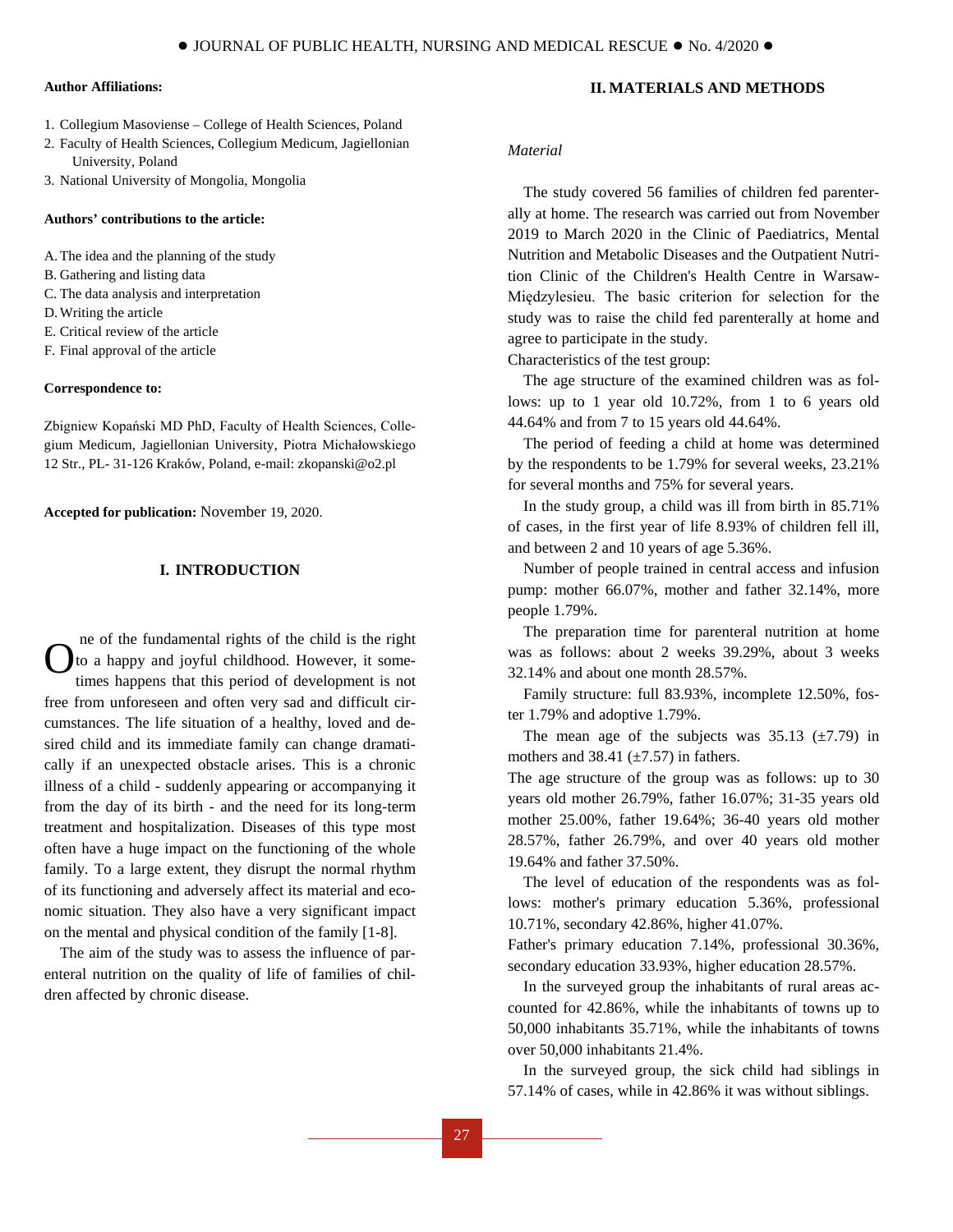#### **Author Affiliations:**

- 1. Collegium Masoviense College of Health Sciences, Poland
- 2. Faculty of Health Sciences, Collegium Medicum, Jagiellonian University, Poland
- 3. National University of Mongolia, Mongolia

#### **Authors' contributions to the article:**

- A.The idea and the planning of the study
- B. Gathering and listing data
- C. The data analysis and interpretation
- D.Writing the article
- E. Critical review of the article
- F. Final approval of the article

#### **Correspondence to:**

Zbigniew Kopański MD PhD, Faculty of Health Sciences, Collegium Medicum, Jagiellonian University, Piotra Michałowskiego 12 Str., PL- 31-126 Kraków, Poland, e-mail[: zkopanski@o2.pl](mailto:zkopanski@o2.pl)

**Accepted for publication:** November 19, 2020.

# **I. INTRODUCTION**

ne of the fundamental rights of the child is the right to a happy and joyful childhood. However, it sometimes happens that this period of development is not free from unforeseen and often very sad and difficult circumstances. The life situation of a healthy, loved and desired child and its immediate family can change dramatically if an unexpected obstacle arises. This is a chronic illness of a child - suddenly appearing or accompanying it from the day of its birth - and the need for its long-term treatment and hospitalization. Diseases of this type most often have a huge impact on the functioning of the whole family. To a large extent, they disrupt the normal rhythm of its functioning and adversely affect its material and economic situation. They also have a very significant impact on the mental and physical condition of the family [1-8]. O

The aim of the study was to assess the influence of parenteral nutrition on the quality of life of families of children affected by chronic disease.

## **II. MATERIALS AND METHODS**

#### *Material*

The study covered 56 families of children fed parenterally at home. The research was carried out from November 2019 to March 2020 in the Clinic of Paediatrics, Mental Nutrition and Metabolic Diseases and the Outpatient Nutrition Clinic of the Children's Health Centre in Warsaw-Międzylesieu. The basic criterion for selection for the study was to raise the child fed parenterally at home and agree to participate in the study.

Characteristics of the test group:

The age structure of the examined children was as follows: up to 1 year old 10.72%, from 1 to 6 years old 44.64% and from 7 to 15 years old 44.64%.

The period of feeding a child at home was determined by the respondents to be 1.79% for several weeks, 23.21% for several months and 75% for several years.

In the study group, a child was ill from birth in 85.71% of cases, in the first year of life 8.93% of children fell ill, and between 2 and 10 years of age 5.36%.

Number of people trained in central access and infusion pump: mother 66.07%, mother and father 32.14%, more people 1.79%.

The preparation time for parenteral nutrition at home was as follows: about 2 weeks 39.29%, about 3 weeks 32.14% and about one month 28.57%.

Family structure: full 83.93%, incomplete 12.50%, foster 1.79% and adoptive 1.79%.

The mean age of the subjects was  $35.13$  ( $\pm$ 7.79) in mothers and 38.41  $(\pm 7.57)$  in fathers.

The age structure of the group was as follows: up to 30 years old mother 26.79%, father 16.07%; 31-35 years old mother 25.00%, father 19.64%; 36-40 years old mother 28.57%, father 26.79%, and over 40 years old mother 19.64% and father 37.50%.

The level of education of the respondents was as follows: mother's primary education 5.36%, professional 10.71%, secondary 42.86%, higher 41.07%.

Father's primary education 7.14%, professional 30.36%, secondary education 33.93%, higher education 28.57%.

In the surveyed group the inhabitants of rural areas accounted for 42.86%, while the inhabitants of towns up to 50,000 inhabitants 35.71%, while the inhabitants of towns over 50,000 inhabitants 21.4%.

In the surveyed group, the sick child had siblings in 57.14% of cases, while in 42.86% it was without siblings.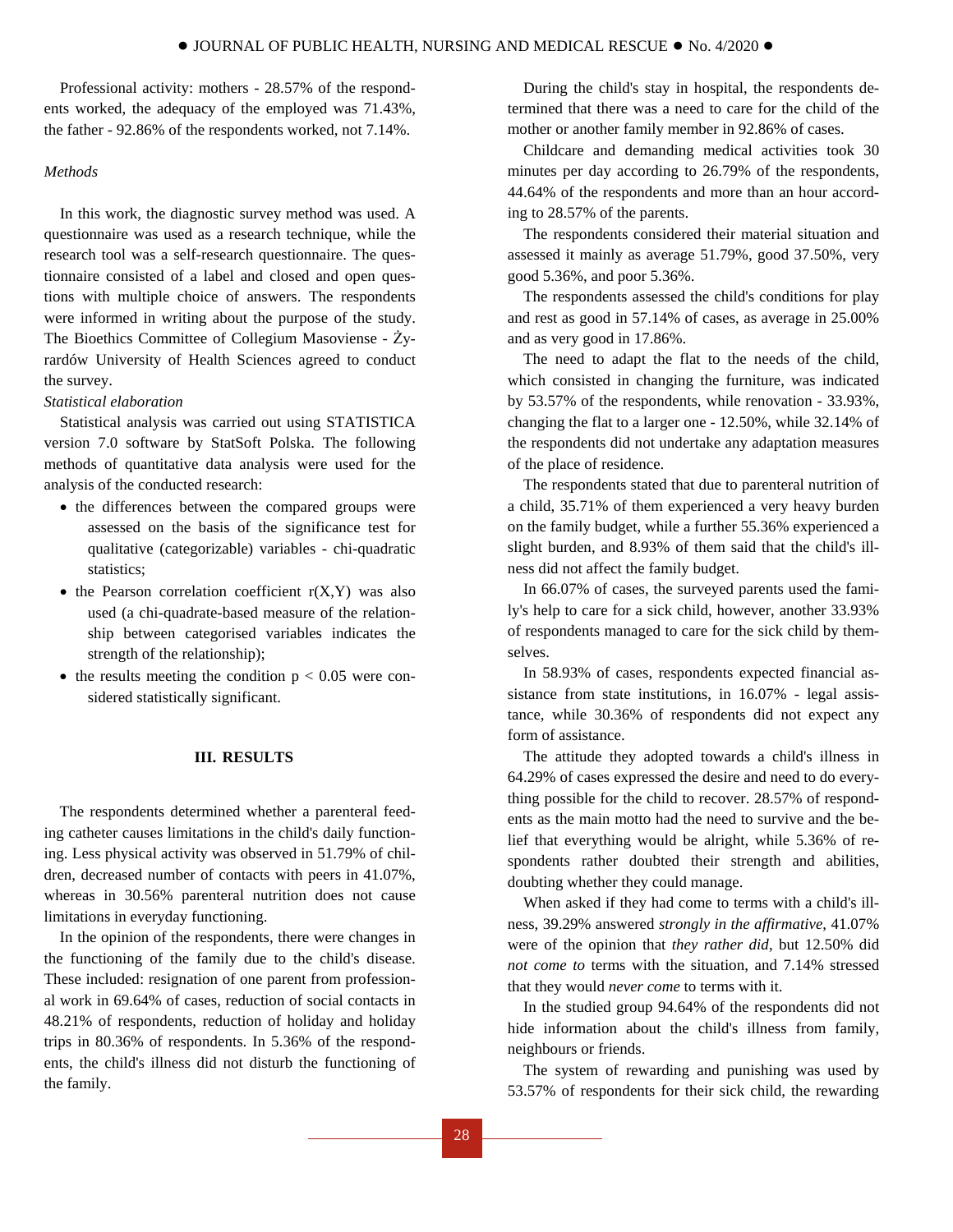Professional activity: mothers - 28.57% of the respondents worked, the adequacy of the employed was 71.43%, the father - 92.86% of the respondents worked, not 7.14%.

# *Methods*

In this work, the diagnostic survey method was used. A questionnaire was used as a research technique, while the research tool was a self-research questionnaire. The questionnaire consisted of a label and closed and open questions with multiple choice of answers. The respondents were informed in writing about the purpose of the study. The Bioethics Committee of Collegium Masoviense - Żyrardów University of Health Sciences agreed to conduct the survey.

#### *Statistical elaboration*

Statistical analysis was carried out using STATISTICA version 7.0 software by StatSoft Polska. The following methods of quantitative data analysis were used for the analysis of the conducted research:

- the differences between the compared groups were assessed on the basis of the significance test for qualitative (categorizable) variables - chi-quadratic statistics;
- $\bullet$  the Pearson correlation coefficient  $r(X,Y)$  was also used (a chi-quadrate-based measure of the relationship between categorised variables indicates the strength of the relationship);
- the results meeting the condition  $p < 0.05$  were considered statistically significant.

### **III. RESULTS**

The respondents determined whether a parenteral feeding catheter causes limitations in the child's daily functioning. Less physical activity was observed in 51.79% of children, decreased number of contacts with peers in 41.07%, whereas in 30.56% parenteral nutrition does not cause limitations in everyday functioning.

In the opinion of the respondents, there were changes in the functioning of the family due to the child's disease. These included: resignation of one parent from professional work in 69.64% of cases, reduction of social contacts in 48.21% of respondents, reduction of holiday and holiday trips in 80.36% of respondents. In 5.36% of the respondents, the child's illness did not disturb the functioning of the family.

During the child's stay in hospital, the respondents determined that there was a need to care for the child of the mother or another family member in 92.86% of cases.

Childcare and demanding medical activities took 30 minutes per day according to 26.79% of the respondents, 44.64% of the respondents and more than an hour according to 28.57% of the parents.

The respondents considered their material situation and assessed it mainly as average 51.79%, good 37.50%, very good 5.36%, and poor 5.36%.

The respondents assessed the child's conditions for play and rest as good in 57.14% of cases, as average in 25.00% and as very good in 17.86%.

The need to adapt the flat to the needs of the child, which consisted in changing the furniture, was indicated by 53.57% of the respondents, while renovation - 33.93%, changing the flat to a larger one - 12.50%, while 32.14% of the respondents did not undertake any adaptation measures of the place of residence.

The respondents stated that due to parenteral nutrition of a child, 35.71% of them experienced a very heavy burden on the family budget, while a further 55.36% experienced a slight burden, and 8.93% of them said that the child's illness did not affect the family budget.

In 66.07% of cases, the surveyed parents used the family's help to care for a sick child, however, another 33.93% of respondents managed to care for the sick child by themselves.

In 58.93% of cases, respondents expected financial assistance from state institutions, in 16.07% - legal assistance, while 30.36% of respondents did not expect any form of assistance.

The attitude they adopted towards a child's illness in 64.29% of cases expressed the desire and need to do everything possible for the child to recover. 28.57% of respondents as the main motto had the need to survive and the belief that everything would be alright, while 5.36% of respondents rather doubted their strength and abilities, doubting whether they could manage.

When asked if they had come to terms with a child's illness, 39.29% answered *strongly in the affirmative*, 41.07% were of the opinion that *they rather did*, but 12.50% did *not come to* terms with the situation, and 7.14% stressed that they would *never come* to terms with it.

In the studied group 94.64% of the respondents did not hide information about the child's illness from family, neighbours or friends.

The system of rewarding and punishing was used by 53.57% of respondents for their sick child, the rewarding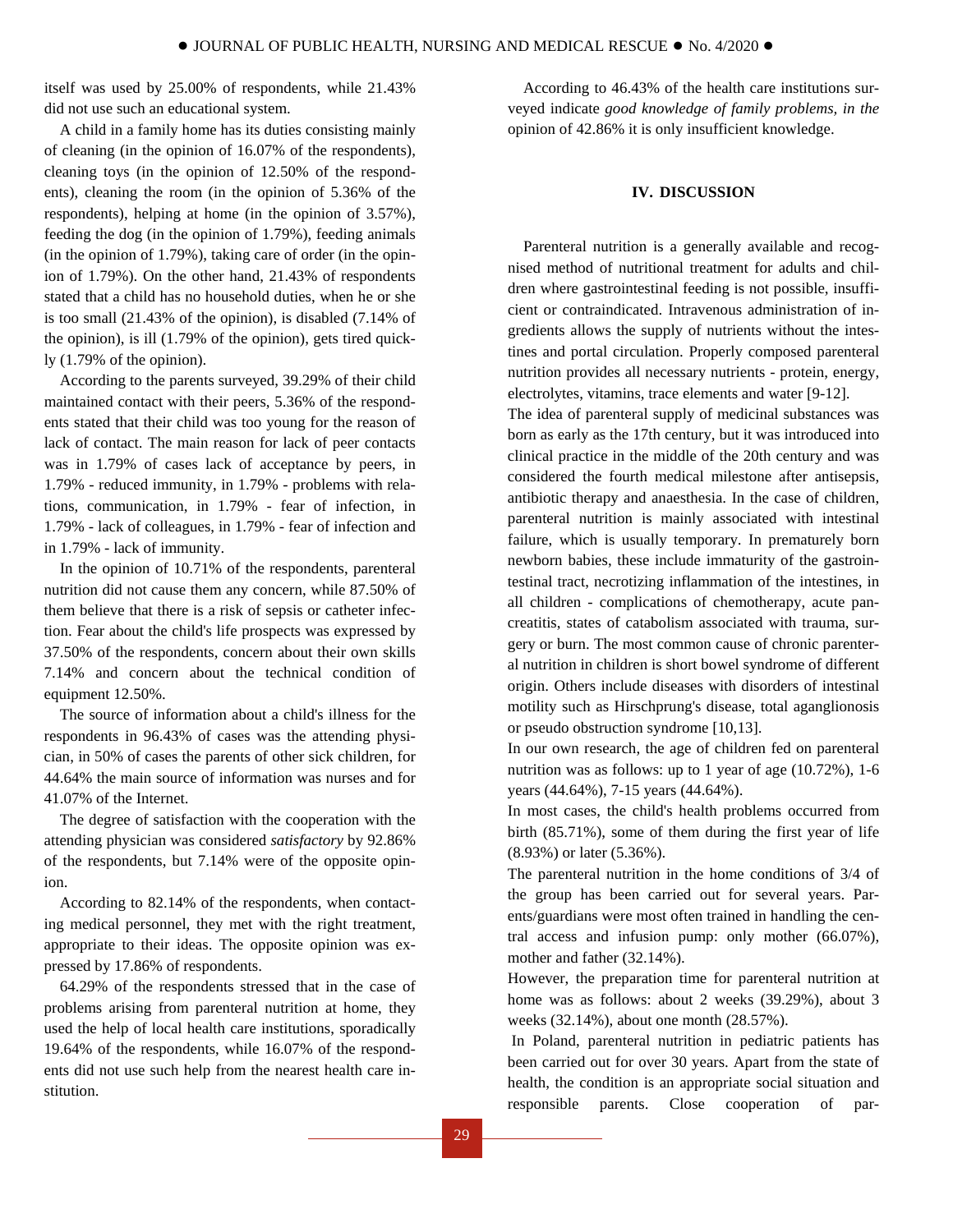itself was used by 25.00% of respondents, while 21.43% did not use such an educational system.

A child in a family home has its duties consisting mainly of cleaning (in the opinion of 16.07% of the respondents), cleaning toys (in the opinion of 12.50% of the respondents), cleaning the room (in the opinion of 5.36% of the respondents), helping at home (in the opinion of 3.57%), feeding the dog (in the opinion of 1.79%), feeding animals (in the opinion of 1.79%), taking care of order (in the opinion of 1.79%). On the other hand, 21.43% of respondents stated that a child has no household duties, when he or she is too small (21.43% of the opinion), is disabled (7.14% of the opinion), is ill (1.79% of the opinion), gets tired quickly (1.79% of the opinion).

According to the parents surveyed, 39.29% of their child maintained contact with their peers, 5.36% of the respondents stated that their child was too young for the reason of lack of contact. The main reason for lack of peer contacts was in 1.79% of cases lack of acceptance by peers, in 1.79% - reduced immunity, in 1.79% - problems with relations, communication, in 1.79% - fear of infection, in 1.79% - lack of colleagues, in 1.79% - fear of infection and in 1.79% - lack of immunity.

In the opinion of 10.71% of the respondents, parenteral nutrition did not cause them any concern, while 87.50% of them believe that there is a risk of sepsis or catheter infection. Fear about the child's life prospects was expressed by 37.50% of the respondents, concern about their own skills 7.14% and concern about the technical condition of equipment 12.50%.

The source of information about a child's illness for the respondents in 96.43% of cases was the attending physician, in 50% of cases the parents of other sick children, for 44.64% the main source of information was nurses and for 41.07% of the Internet.

The degree of satisfaction with the cooperation with the attending physician was considered *satisfactory* by 92.86% of the respondents, but 7.14% were of the opposite opinion.

According to 82.14% of the respondents, when contacting medical personnel, they met with the right treatment, appropriate to their ideas. The opposite opinion was expressed by 17.86% of respondents.

64.29% of the respondents stressed that in the case of problems arising from parenteral nutrition at home, they used the help of local health care institutions, sporadically 19.64% of the respondents, while 16.07% of the respondents did not use such help from the nearest health care institution.

According to 46.43% of the health care institutions surveyed indicate *good knowledge of family problems, in the*  opinion of 42.86% it is only insufficient knowledge.

# **IV. DISCUSSION**

Parenteral nutrition is a generally available and recognised method of nutritional treatment for adults and children where gastrointestinal feeding is not possible, insufficient or contraindicated. Intravenous administration of ingredients allows the supply of nutrients without the intestines and portal circulation. Properly composed parenteral nutrition provides all necessary nutrients - protein, energy, electrolytes, vitamins, trace elements and water [9-12].

The idea of parenteral supply of medicinal substances was born as early as the 17th century, but it was introduced into clinical practice in the middle of the 20th century and was considered the fourth medical milestone after antisepsis, antibiotic therapy and anaesthesia. In the case of children, parenteral nutrition is mainly associated with intestinal failure, which is usually temporary. In prematurely born newborn babies, these include immaturity of the gastrointestinal tract, necrotizing inflammation of the intestines, in all children - complications of chemotherapy, acute pancreatitis, states of catabolism associated with trauma, surgery or burn. The most common cause of chronic parenteral nutrition in children is short bowel syndrome of different origin. Others include diseases with disorders of intestinal motility such as Hirschprung's disease, total aganglionosis or pseudo obstruction syndrome [10,13].

In our own research, the age of children fed on parenteral nutrition was as follows: up to 1 year of age (10.72%), 1-6 years (44.64%), 7-15 years (44.64%).

In most cases, the child's health problems occurred from birth (85.71%), some of them during the first year of life (8.93%) or later (5.36%).

The parenteral nutrition in the home conditions of 3/4 of the group has been carried out for several years. Parents/guardians were most often trained in handling the central access and infusion pump: only mother (66.07%), mother and father (32.14%).

However, the preparation time for parenteral nutrition at home was as follows: about 2 weeks (39.29%), about 3 weeks (32.14%), about one month (28.57%).

In Poland, parenteral nutrition in pediatric patients has been carried out for over 30 years. Apart from the state of health, the condition is an appropriate social situation and responsible parents. Close cooperation of par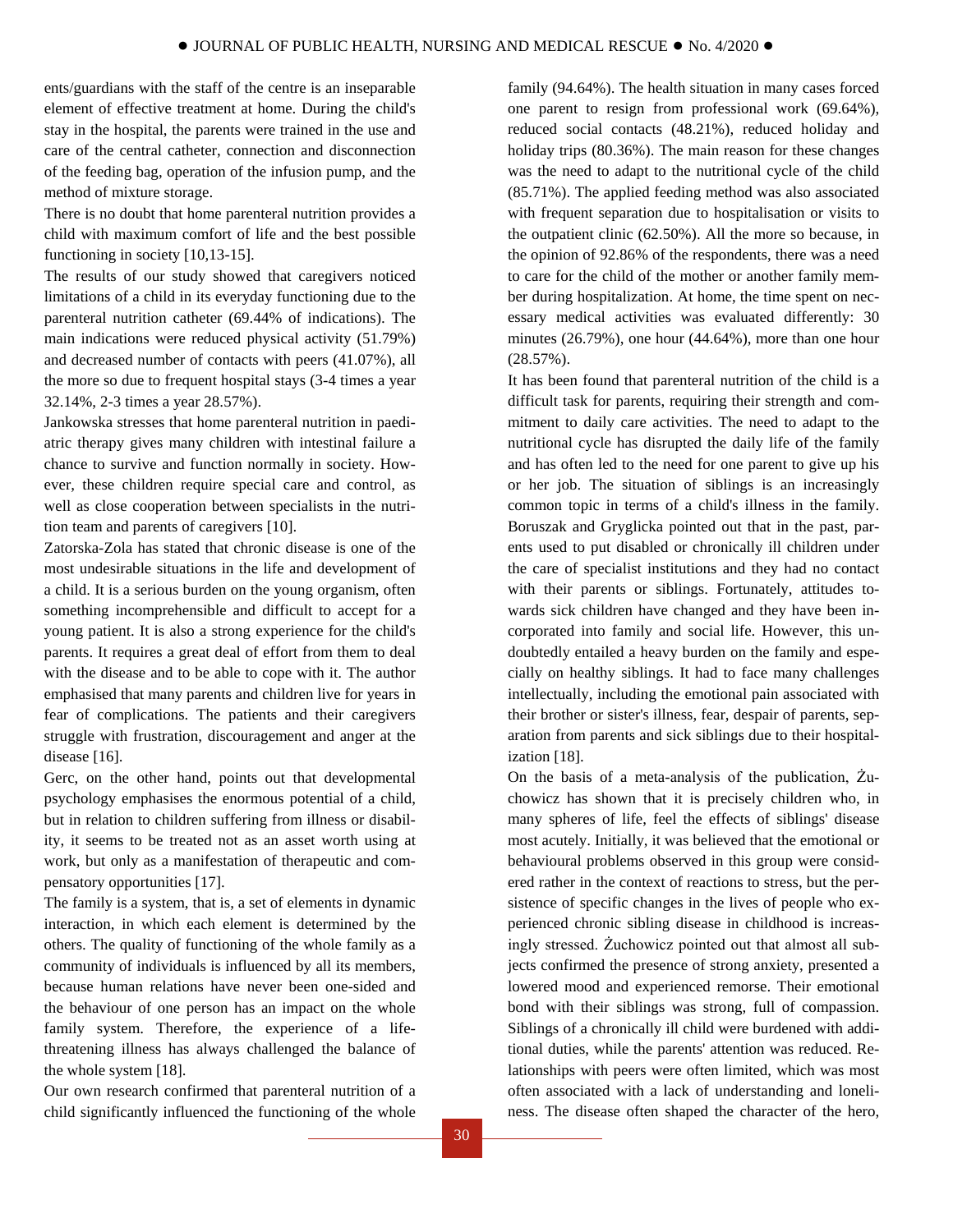ents/guardians with the staff of the centre is an inseparable element of effective treatment at home. During the child's stay in the hospital, the parents were trained in the use and care of the central catheter, connection and disconnection of the feeding bag, operation of the infusion pump, and the method of mixture storage.

There is no doubt that home parenteral nutrition provides a child with maximum comfort of life and the best possible functioning in society [10,13-15].

The results of our study showed that caregivers noticed limitations of a child in its everyday functioning due to the parenteral nutrition catheter (69.44% of indications). The main indications were reduced physical activity (51.79%) and decreased number of contacts with peers (41.07%), all the more so due to frequent hospital stays (3-4 times a year 32.14%, 2-3 times a year 28.57%).

Jankowska stresses that home parenteral nutrition in paediatric therapy gives many children with intestinal failure a chance to survive and function normally in society. However, these children require special care and control, as well as close cooperation between specialists in the nutrition team and parents of caregivers [10].

Zatorska-Zola has stated that chronic disease is one of the most undesirable situations in the life and development of a child. It is a serious burden on the young organism, often something incomprehensible and difficult to accept for a young patient. It is also a strong experience for the child's parents. It requires a great deal of effort from them to deal with the disease and to be able to cope with it. The author emphasised that many parents and children live for years in fear of complications. The patients and their caregivers struggle with frustration, discouragement and anger at the disease [16].

Gerc, on the other hand, points out that developmental psychology emphasises the enormous potential of a child, but in relation to children suffering from illness or disability, it seems to be treated not as an asset worth using at work, but only as a manifestation of therapeutic and compensatory opportunities [17].

The family is a system, that is, a set of elements in dynamic interaction, in which each element is determined by the others. The quality of functioning of the whole family as a community of individuals is influenced by all its members, because human relations have never been one-sided and the behaviour of one person has an impact on the whole family system. Therefore, the experience of a lifethreatening illness has always challenged the balance of the whole system [18].

Our own research confirmed that parenteral nutrition of a child significantly influenced the functioning of the whole

family (94.64%). The health situation in many cases forced one parent to resign from professional work (69.64%), reduced social contacts (48.21%), reduced holiday and holiday trips  $(80.36\%)$ . The main reason for these changes was the need to adapt to the nutritional cycle of the child (85.71%). The applied feeding method was also associated with frequent separation due to hospitalisation or visits to the outpatient clinic (62.50%). All the more so because, in the opinion of 92.86% of the respondents, there was a need to care for the child of the mother or another family member during hospitalization. At home, the time spent on necessary medical activities was evaluated differently: 30 minutes (26.79%), one hour (44.64%), more than one hour (28.57%).

It has been found that parenteral nutrition of the child is a difficult task for parents, requiring their strength and commitment to daily care activities. The need to adapt to the nutritional cycle has disrupted the daily life of the family and has often led to the need for one parent to give up his or her job. The situation of siblings is an increasingly common topic in terms of a child's illness in the family. Boruszak and Gryglicka pointed out that in the past, parents used to put disabled or chronically ill children under the care of specialist institutions and they had no contact with their parents or siblings. Fortunately, attitudes towards sick children have changed and they have been incorporated into family and social life. However, this undoubtedly entailed a heavy burden on the family and especially on healthy siblings. It had to face many challenges intellectually, including the emotional pain associated with their brother or sister's illness, fear, despair of parents, separation from parents and sick siblings due to their hospitalization [18].

On the basis of a meta-analysis of the publication, Żuchowicz has shown that it is precisely children who, in many spheres of life, feel the effects of siblings' disease most acutely. Initially, it was believed that the emotional or behavioural problems observed in this group were considered rather in the context of reactions to stress, but the persistence of specific changes in the lives of people who experienced chronic sibling disease in childhood is increasingly stressed. Żuchowicz pointed out that almost all subjects confirmed the presence of strong anxiety, presented a lowered mood and experienced remorse. Their emotional bond with their siblings was strong, full of compassion. Siblings of a chronically ill child were burdened with additional duties, while the parents' attention was reduced. Relationships with peers were often limited, which was most often associated with a lack of understanding and loneliness. The disease often shaped the character of the hero,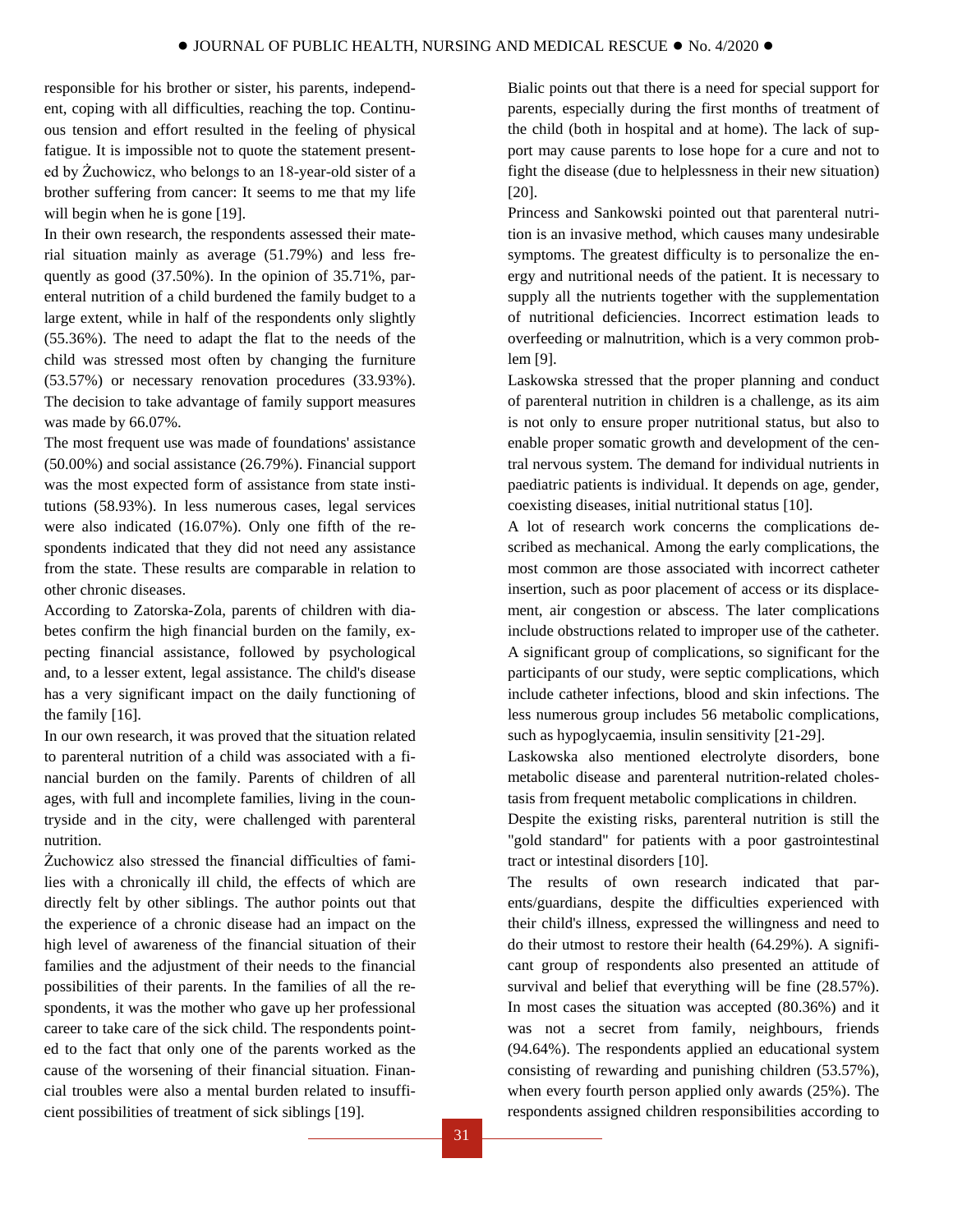responsible for his brother or sister, his parents, independent, coping with all difficulties, reaching the top. Continuous tension and effort resulted in the feeling of physical fatigue. It is impossible not to quote the statement presented by Żuchowicz, who belongs to an 18-year-old sister of a brother suffering from cancer: It seems to me that my life will begin when he is gone [19].

In their own research, the respondents assessed their material situation mainly as average (51.79%) and less frequently as good (37.50%). In the opinion of 35.71%, parenteral nutrition of a child burdened the family budget to a large extent, while in half of the respondents only slightly (55.36%). The need to adapt the flat to the needs of the child was stressed most often by changing the furniture (53.57%) or necessary renovation procedures (33.93%). The decision to take advantage of family support measures was made by 66.07%.

The most frequent use was made of foundations' assistance (50.00%) and social assistance (26.79%). Financial support was the most expected form of assistance from state institutions (58.93%). In less numerous cases, legal services were also indicated (16.07%). Only one fifth of the respondents indicated that they did not need any assistance from the state. These results are comparable in relation to other chronic diseases.

According to Zatorska-Zola, parents of children with diabetes confirm the high financial burden on the family, expecting financial assistance, followed by psychological and, to a lesser extent, legal assistance. The child's disease has a very significant impact on the daily functioning of the family [16].

In our own research, it was proved that the situation related to parenteral nutrition of a child was associated with a financial burden on the family. Parents of children of all ages, with full and incomplete families, living in the countryside and in the city, were challenged with parenteral nutrition.

Żuchowicz also stressed the financial difficulties of families with a chronically ill child, the effects of which are directly felt by other siblings. The author points out that the experience of a chronic disease had an impact on the high level of awareness of the financial situation of their families and the adjustment of their needs to the financial possibilities of their parents. In the families of all the respondents, it was the mother who gave up her professional career to take care of the sick child. The respondents pointed to the fact that only one of the parents worked as the cause of the worsening of their financial situation. Financial troubles were also a mental burden related to insufficient possibilities of treatment of sick siblings [19].

Bialic points out that there is a need for special support for parents, especially during the first months of treatment of the child (both in hospital and at home). The lack of support may cause parents to lose hope for a cure and not to fight the disease (due to helplessness in their new situation) [20].

Princess and Sankowski pointed out that parenteral nutrition is an invasive method, which causes many undesirable symptoms. The greatest difficulty is to personalize the energy and nutritional needs of the patient. It is necessary to supply all the nutrients together with the supplementation of nutritional deficiencies. Incorrect estimation leads to overfeeding or malnutrition, which is a very common problem [9].

Laskowska stressed that the proper planning and conduct of parenteral nutrition in children is a challenge, as its aim is not only to ensure proper nutritional status, but also to enable proper somatic growth and development of the central nervous system. The demand for individual nutrients in paediatric patients is individual. It depends on age, gender, coexisting diseases, initial nutritional status [10].

A lot of research work concerns the complications described as mechanical. Among the early complications, the most common are those associated with incorrect catheter insertion, such as poor placement of access or its displacement, air congestion or abscess. The later complications include obstructions related to improper use of the catheter. A significant group of complications, so significant for the participants of our study, were septic complications, which include catheter infections, blood and skin infections. The less numerous group includes 56 metabolic complications, such as hypoglycaemia, insulin sensitivity [21-29].

Laskowska also mentioned electrolyte disorders, bone metabolic disease and parenteral nutrition-related cholestasis from frequent metabolic complications in children.

Despite the existing risks, parenteral nutrition is still the "gold standard" for patients with a poor gastrointestinal tract or intestinal disorders [10].

The results of own research indicated that parents/guardians, despite the difficulties experienced with their child's illness, expressed the willingness and need to do their utmost to restore their health (64.29%). A significant group of respondents also presented an attitude of survival and belief that everything will be fine (28.57%). In most cases the situation was accepted (80.36%) and it was not a secret from family, neighbours, friends (94.64%). The respondents applied an educational system consisting of rewarding and punishing children (53.57%), when every fourth person applied only awards (25%). The respondents assigned children responsibilities according to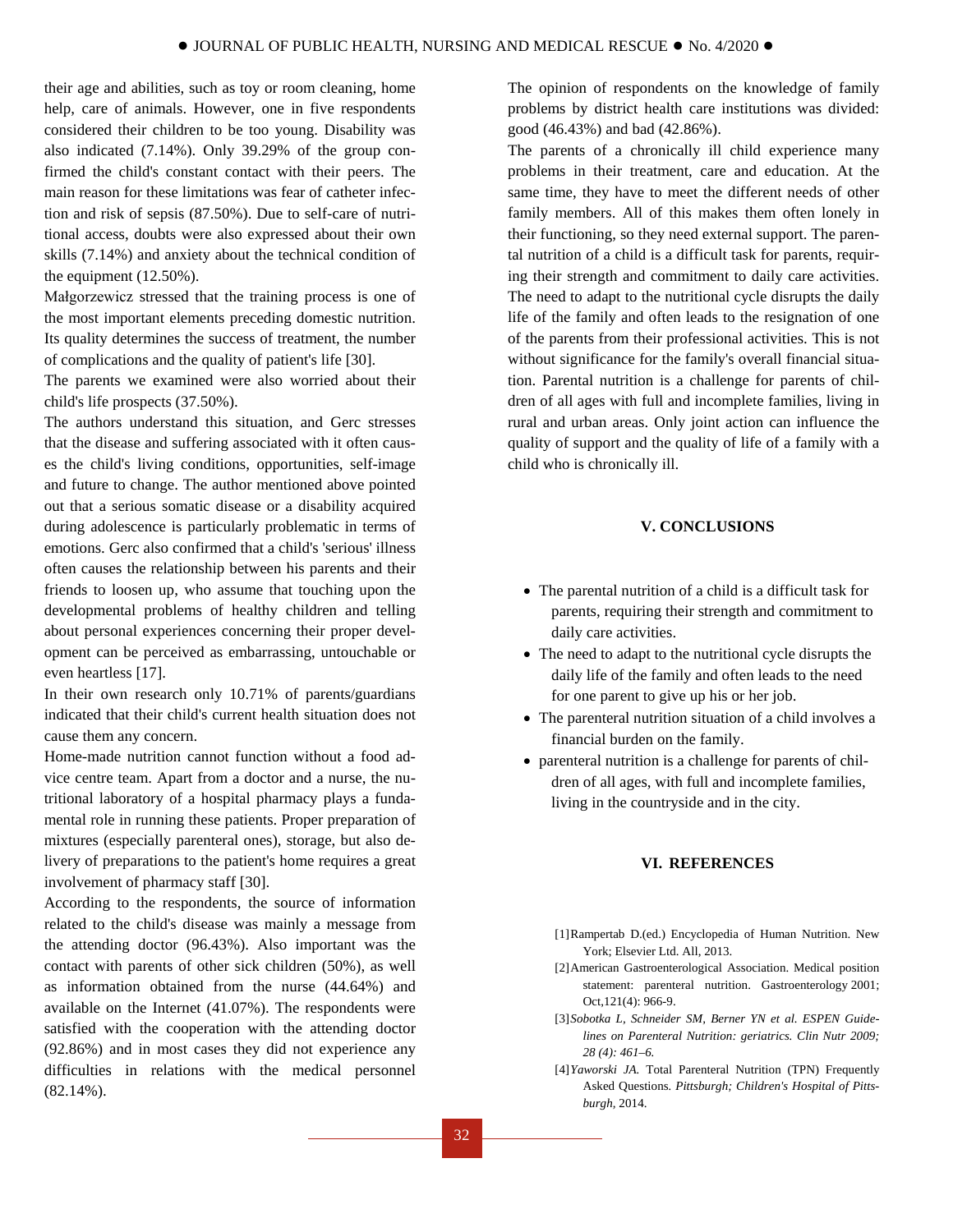their age and abilities, such as toy or room cleaning, home help, care of animals. However, one in five respondents considered their children to be too young. Disability was also indicated (7.14%). Only 39.29% of the group confirmed the child's constant contact with their peers. The main reason for these limitations was fear of catheter infection and risk of sepsis (87.50%). Due to self-care of nutritional access, doubts were also expressed about their own skills (7.14%) and anxiety about the technical condition of the equipment (12.50%).

Małgorzewicz stressed that the training process is one of the most important elements preceding domestic nutrition. Its quality determines the success of treatment, the number of complications and the quality of patient's life [30].

The parents we examined were also worried about their child's life prospects (37.50%).

The authors understand this situation, and Gerc stresses that the disease and suffering associated with it often causes the child's living conditions, opportunities, self-image and future to change. The author mentioned above pointed out that a serious somatic disease or a disability acquired during adolescence is particularly problematic in terms of emotions. Gerc also confirmed that a child's 'serious' illness often causes the relationship between his parents and their friends to loosen up, who assume that touching upon the developmental problems of healthy children and telling about personal experiences concerning their proper development can be perceived as embarrassing, untouchable or even heartless [17].

In their own research only 10.71% of parents/guardians indicated that their child's current health situation does not cause them any concern.

Home-made nutrition cannot function without a food advice centre team. Apart from a doctor and a nurse, the nutritional laboratory of a hospital pharmacy plays a fundamental role in running these patients. Proper preparation of mixtures (especially parenteral ones), storage, but also delivery of preparations to the patient's home requires a great involvement of pharmacy staff [30].

According to the respondents, the source of information related to the child's disease was mainly a message from the attending doctor (96.43%). Also important was the contact with parents of other sick children (50%), as well as information obtained from the nurse (44.64%) and available on the Internet (41.07%). The respondents were satisfied with the cooperation with the attending doctor (92.86%) and in most cases they did not experience any difficulties in relations with the medical personnel (82.14%).

The opinion of respondents on the knowledge of family problems by district health care institutions was divided: good (46.43%) and bad (42.86%).

The parents of a chronically ill child experience many problems in their treatment, care and education. At the same time, they have to meet the different needs of other family members. All of this makes them often lonely in their functioning, so they need external support. The parental nutrition of a child is a difficult task for parents, requiring their strength and commitment to daily care activities. The need to adapt to the nutritional cycle disrupts the daily life of the family and often leads to the resignation of one of the parents from their professional activities. This is not without significance for the family's overall financial situation. Parental nutrition is a challenge for parents of children of all ages with full and incomplete families, living in rural and urban areas. Only joint action can influence the quality of support and the quality of life of a family with a child who is chronically ill.

# **V. CONCLUSIONS**

- The parental nutrition of a child is a difficult task for parents, requiring their strength and commitment to daily care activities.
- The need to adapt to the nutritional cycle disrupts the daily life of the family and often leads to the need for one parent to give up his or her job.
- The parenteral nutrition situation of a child involves a financial burden on the family.
- parenteral nutrition is a challenge for parents of children of all ages, with full and incomplete families, living in the countryside and in the city.

# **VI. REFERENCES**

- [1]Rampertab D.(ed.) [Encyclopedia of Human Nutrition.](https://www.sciencedirect.com/referencework/9780123848857/encyclopedia-of-human-nutrition) New York; Elsevier Ltd. All, 2013.
- [2]American Gastroenterological Association. Medical position statement: parenteral nutrition. Gastroenterology 2001; Oct,121(4): 966-9.
- [3]*Sobotka L, Schneider SM, Berner YN et al. ESPEN Guidelines on Parenteral Nutrition: geriatrics. Clin Nutr 2009; 28 (4): 461–6.*
- [4]*Yaworski JA*. Total Parenteral Nutrition (TPN) Frequently [Asked Questions](http://www.chp.edu/CHP/faq+about+tpn+intestine)*. Pittsburgh; Children's Hospital of Pittsburgh,* 2014.